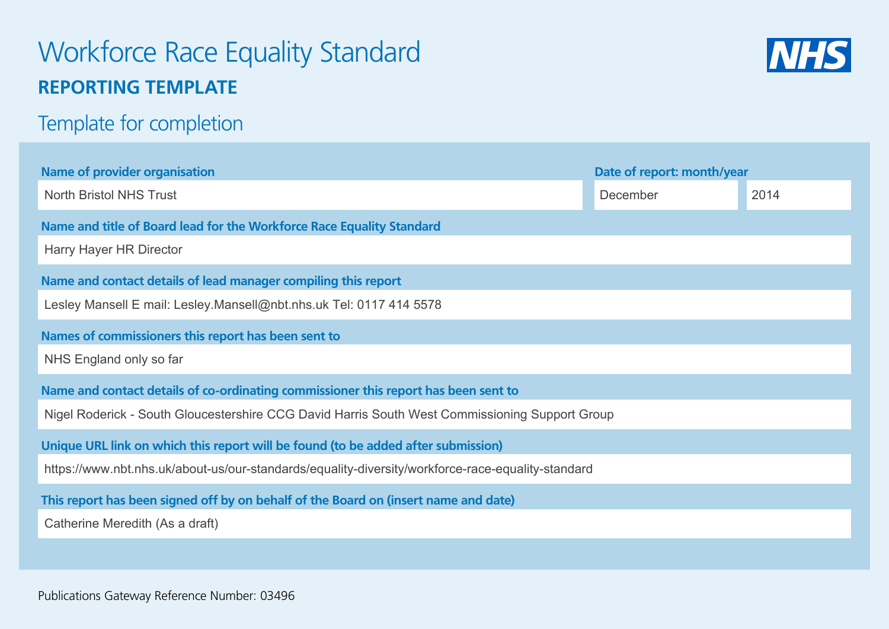# Workforce Race Equality Standard **REPORTING TEMPLATE**



## Template for completion

| <b>Name of provider organisation</b>                                                              | Date of report: month/year |      |  |  |  |  |  |  |
|---------------------------------------------------------------------------------------------------|----------------------------|------|--|--|--|--|--|--|
| <b>North Bristol NHS Trust</b>                                                                    | December                   | 2014 |  |  |  |  |  |  |
| Name and title of Board lead for the Workforce Race Equality Standard                             |                            |      |  |  |  |  |  |  |
| Harry Hayer HR Director                                                                           |                            |      |  |  |  |  |  |  |
| Name and contact details of lead manager compiling this report                                    |                            |      |  |  |  |  |  |  |
| Lesley Mansell E mail: Lesley.Mansell@nbt.nhs.uk Tel: 0117 414 5578                               |                            |      |  |  |  |  |  |  |
| Names of commissioners this report has been sent to                                               |                            |      |  |  |  |  |  |  |
| NHS England only so far                                                                           |                            |      |  |  |  |  |  |  |
| Name and contact details of co-ordinating commissioner this report has been sent to               |                            |      |  |  |  |  |  |  |
| Nigel Roderick - South Gloucestershire CCG David Harris South West Commissioning Support Group    |                            |      |  |  |  |  |  |  |
| Unique URL link on which this report will be found (to be added after submission)                 |                            |      |  |  |  |  |  |  |
| https://www.nbt.nhs.uk/about-us/our-standards/equality-diversity/workforce-race-equality-standard |                            |      |  |  |  |  |  |  |
| This report has been signed off by on behalf of the Board on (insert name and date)               |                            |      |  |  |  |  |  |  |
| Catherine Meredith (As a draft)                                                                   |                            |      |  |  |  |  |  |  |
|                                                                                                   |                            |      |  |  |  |  |  |  |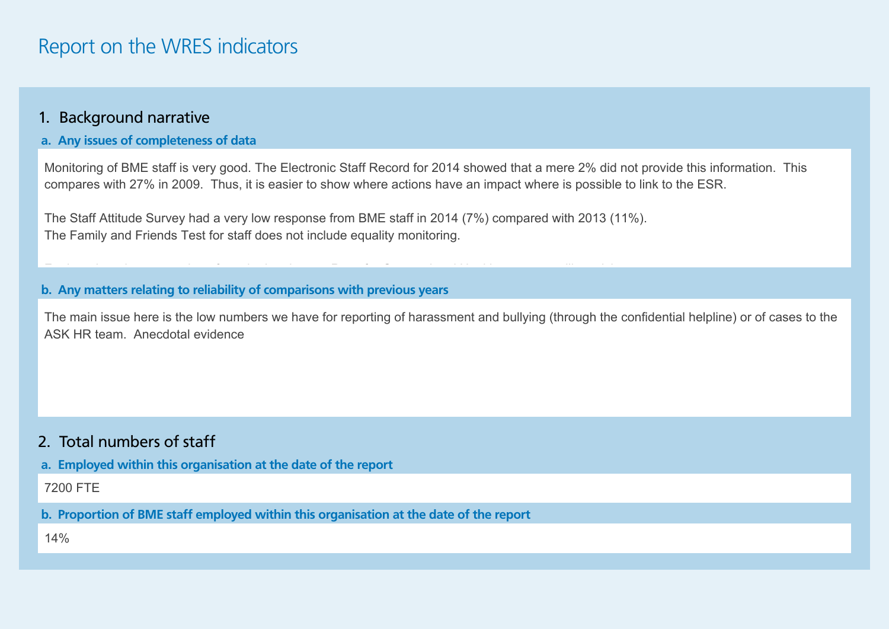## Report on the WRES indicators

#### 1. Background narrative

#### **a. Any issues of completeness of data**

Monitoring of BME staff is very good. The Electronic Staff Record for 2014 showed that a mere 2% did not provide this information. This compares with 27% in 2009. Thus, it is easier to show where actions have an impact where is possible to link to the ESR.

The Staff Attitude Survey had a very low response from BME staff in 2014 (7%) compared with 2013 (11%). The Family and Friends Test for staff does not include equality monitoring.

 $\mathcal{F}_{\mathcal{F}}$  is no report is no reporting on  $\mathcal{F}_{\mathcal{F}}$  and  $\mathcal{F}_{\mathcal{F}}$  and  $\mathcal{F}_{\mathcal{F}}$  exponential Health e.g. counselling, since

#### **b. Any matters relating to reliability of comparisons with previous years**

The main issue here is the low numbers we have for reporting of harassment and bullying (through the confidential helpline) or of cases to the ASK HR team. Anecdotal evidence

#### 2. Total numbers of staff

**a. Employed within this organisation at the date of the report** 

7200 FTE

**b. Proportion of BME staff employed within this organisation at the date of the report** 

14%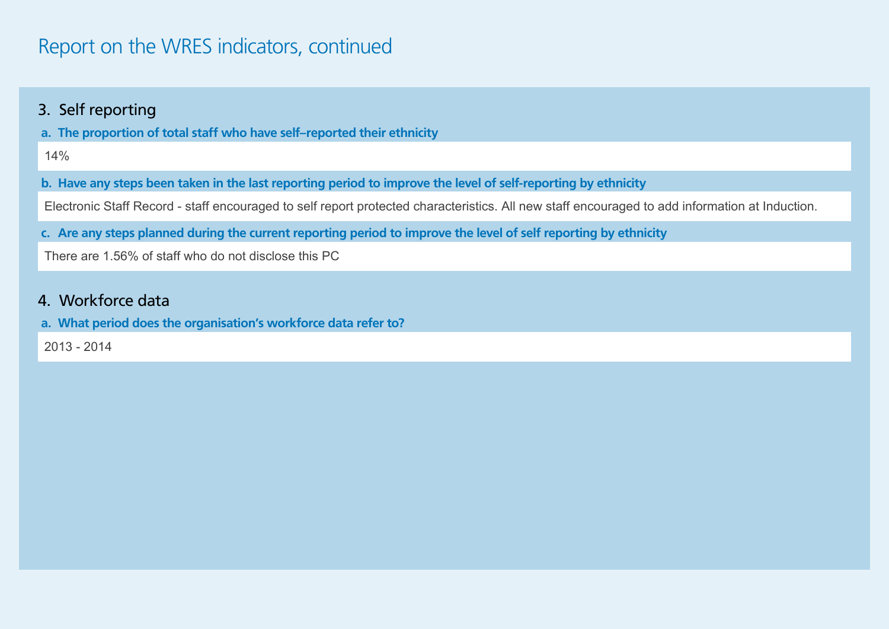## Report on the WRES indicators, continued

### 3. Self reporting

**a. The proportion of total staff who have self–reported their ethnicity** 

**b. Have any steps been taken in the last reporting period to improve the level of self-reporting by ethnicity** 

14%<br>3. Have any steps been taken in the last reporting period to improve the level of self-reporting by ethnicity<br>Electronic Staff Record - staff encouraged to self report protected characteristics. All new staff encourage

**c. Are any steps planned during the current reporting period to improve the level of self reporting by ethnicity**

### 4. Workforce data

**a. What period does the organisation's workforce data refer to?**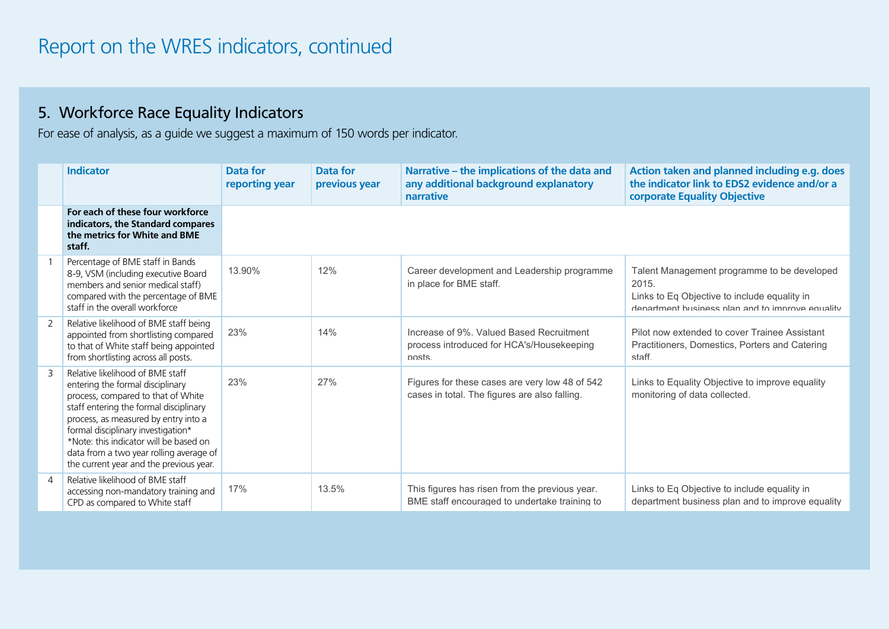### 5. Workforce Race Equality Indicators

For ease of analysis, as a guide we suggest a maximum of 150 words per indicator.

|   | <b>Indicator</b>                                                                                                                                                                                                                                                                                                                                                   | Data for<br>reporting year | Data for<br>previous year | Narrative – the implications of the data and<br>any additional background explanatory<br>narrative | Action taken and planned including e.g. does<br>the indicator link to EDS2 evidence and/or a<br>corporate Equality Objective                             |
|---|--------------------------------------------------------------------------------------------------------------------------------------------------------------------------------------------------------------------------------------------------------------------------------------------------------------------------------------------------------------------|----------------------------|---------------------------|----------------------------------------------------------------------------------------------------|----------------------------------------------------------------------------------------------------------------------------------------------------------|
|   | For each of these four workforce<br>indicators, the Standard compares<br>the metrics for White and BME<br>staff.                                                                                                                                                                                                                                                   |                            |                           |                                                                                                    |                                                                                                                                                          |
|   | Percentage of BME staff in Bands<br>8-9, VSM (including executive Board<br>members and senior medical staff)<br>compared with the percentage of BME<br>staff in the overall workforce                                                                                                                                                                              | 13.90%                     | 12%                       | Career development and Leadership programme<br>in place for BME staff.                             | Talent Management programme to be developed<br>2015.<br>Links to Eq Objective to include equality in<br>department business plan and to improve equality |
| 2 | Relative likelihood of BME staff being<br>appointed from shortlisting compared<br>to that of White staff being appointed<br>from shortlisting across all posts.                                                                                                                                                                                                    | 23%                        | 14%                       | Increase of 9%. Valued Based Recruitment<br>process introduced for HCA's/Housekeeping<br>nosts     | Pilot now extended to cover Trainee Assistant<br>Practitioners, Domestics, Porters and Catering<br>staff                                                 |
| 3 | Relative likelihood of BME staff<br>entering the formal disciplinary<br>process, compared to that of White<br>staff entering the formal disciplinary<br>process, as measured by entry into a<br>formal disciplinary investigation*<br>*Note: this indicator will be based on<br>data from a two year rolling average of<br>the current year and the previous year. | 23%                        | 27%                       | Figures for these cases are very low 48 of 542<br>cases in total. The figures are also falling.    | Links to Equality Objective to improve equality<br>monitoring of data collected.                                                                         |
| 4 | Relative likelihood of BME staff<br>accessing non-mandatory training and<br>CPD as compared to White staff                                                                                                                                                                                                                                                         | 17%                        | 13.5%                     | This figures has risen from the previous year.<br>BME staff encouraged to undertake training to    | Links to Eq Objective to include equality in<br>department business plan and to improve equality                                                         |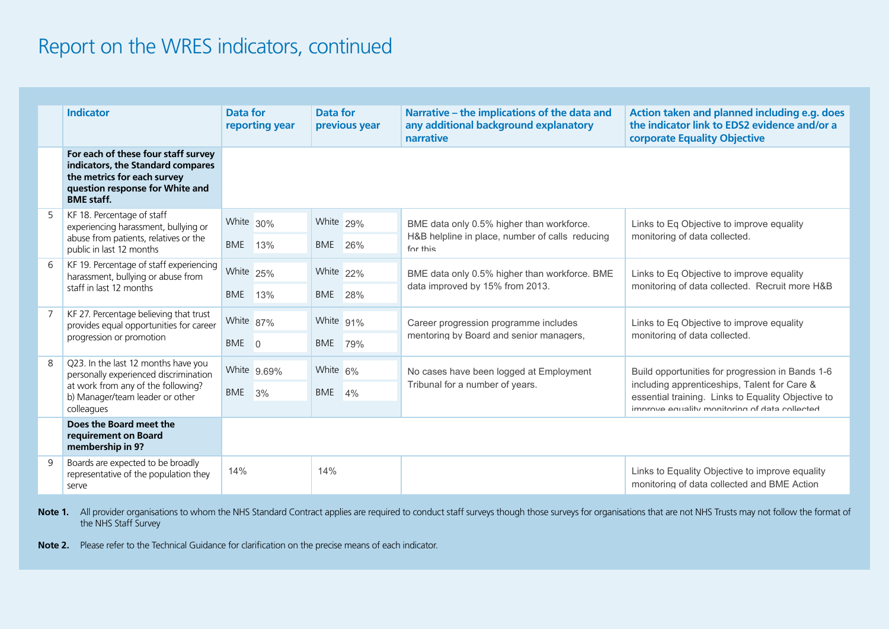## Report on the WRES indicators, continued

|                | <b>Indicator</b>                                                                                                                                                    | <b>Data for</b><br>reporting year |             | <b>Data for</b> | previous year | Narrative - the implications of the data and<br>any additional background explanatory<br>narrative       | Action taken and planned including e.g. does<br>the indicator link to EDS2 evidence and/or a<br>corporate Equality Objective                           |
|----------------|---------------------------------------------------------------------------------------------------------------------------------------------------------------------|-----------------------------------|-------------|-----------------|---------------|----------------------------------------------------------------------------------------------------------|--------------------------------------------------------------------------------------------------------------------------------------------------------|
|                | For each of these four staff survey<br>indicators, the Standard compares<br>the metrics for each survey<br>question response for White and<br><b>BME</b> staff.     |                                   |             |                 |               |                                                                                                          |                                                                                                                                                        |
| 5              | KF 18. Percentage of staff<br>experiencing harassment, bullying or<br>abuse from patients, relatives or the<br>public in last 12 months                             | White 30%                         |             | White 29%       |               | BME data only 0.5% higher than workforce.<br>H&B helpline in place, number of calls reducing<br>for this | Links to Eq Objective to improve equality<br>monitoring of data collected.                                                                             |
|                |                                                                                                                                                                     | BME 13%                           |             | BME 26%         |               |                                                                                                          |                                                                                                                                                        |
| 6              | KF 19. Percentage of staff experiencing<br>harassment, bullying or abuse from<br>staff in last 12 months                                                            | White 25%                         |             | White 22%       |               | BME data only 0.5% higher than workforce. BME<br>data improved by 15% from 2013.                         | Links to Eq Objective to improve equality<br>monitoring of data collected. Recruit more H&B                                                            |
|                |                                                                                                                                                                     | BME                               | 13%         | BME             | 28%           |                                                                                                          |                                                                                                                                                        |
| $\overline{7}$ | KF 27. Percentage believing that trust<br>provides equal opportunities for career<br>progression or promotion                                                       | White 87%                         |             | White 91%       |               | Career progression programme includes<br>mentoring by Board and senior managers.                         | Links to Eq Objective to improve equality<br>monitoring of data collected.                                                                             |
|                |                                                                                                                                                                     | BME 0                             |             | BME 79%         |               |                                                                                                          |                                                                                                                                                        |
| 8              | Q23. In the last 12 months have you<br>personally experienced discrimination<br>at work from any of the following?<br>b) Manager/team leader or other<br>colleagues |                                   | White 9.69% | White 6%        |               | No cases have been logged at Employment<br>Tribunal for a number of years.                               | Build opportunities for progression in Bands 1-6<br>including apprenticeships, Talent for Care &<br>essential training. Links to Equality Objective to |
|                |                                                                                                                                                                     | BME 3%                            |             | BME 4%          |               |                                                                                                          |                                                                                                                                                        |
|                |                                                                                                                                                                     |                                   |             |                 |               |                                                                                                          | Improve equality monitoring of data collected                                                                                                          |
|                | Does the Board meet the<br>requirement on Board<br>membership in 9?                                                                                                 |                                   |             |                 |               |                                                                                                          |                                                                                                                                                        |
| 9              | Boards are expected to be broadly<br>representative of the population they<br>serve                                                                                 | 14%                               |             | 14%             |               |                                                                                                          | Links to Equality Objective to improve equality<br>monitoring of data collected and BME Action                                                         |

Note 1. All provider organisations to whom the NHS Standard Contract applies are required to conduct staff surveys though those surveys for organisations that are not NHS Trusts may not follow the format of the NHS Staff Survey

**Note 2.** Please refer to the Technical Guidance for clarification on the precise means of each indicator.